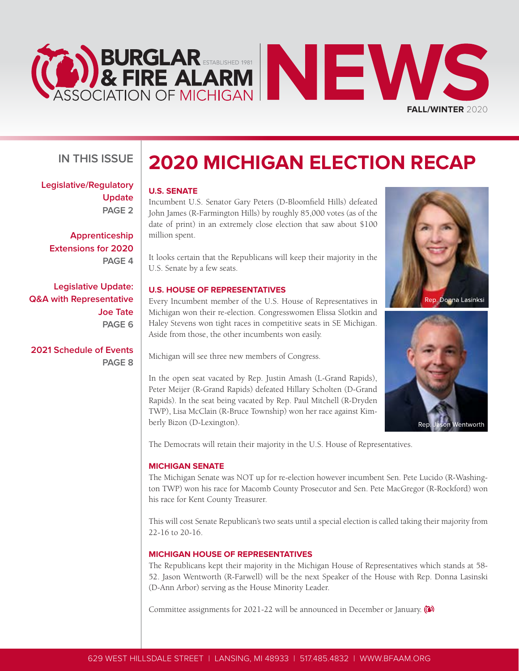



#### **U.S. SENATE**

Incumbent U.S. Senator Gary Peters (D-Bloomfield Hills) defeated John James (R-Farmington Hills) by roughly 85,000 votes (as of the date of print) in an extremely close election that saw about \$100 million spent.

It looks certain that the Republicans will keep their majority in the U.S. Senate by a few seats.

#### **U.S. HOUSE OF REPRESENTATIVES**

Every Incumbent member of the U.S. House of Representatives in Michigan won their re-election. Congresswomen Elissa Slotkin and Haley Stevens won tight races in competitive seats in SE Michigan. Aside from those, the other incumbents won easily.

Michigan will see three new members of Congress.

In the open seat vacated by Rep. Justin Amash (L-Grand Rapids), Peter Meijer (R-Grand Rapids) defeated Hillary Scholten (D-Grand Rapids). In the seat being vacated by Rep. Paul Mitchell (R-Dryden TWP), Lisa McClain (R-Bruce Township) won her race against Kimberly Bizon (D-Lexington).

The Democrats will retain their majority in the U.S. House of Representatives.

#### **MICHIGAN SENATE**

The Michigan Senate was NOT up for re-election however incumbent Sen. Pete Lucido (R-Washington TWP) won his race for Macomb County Prosecutor and Sen. Pete MacGregor (R-Rockford) won his race for Kent County Treasurer.

This will cost Senate Republican's two seats until a special election is called taking their majority from 22-16 to 20-16.

#### **MICHIGAN HOUSE OF REPRESENTATIVES**

The Republicans kept their majority in the Michigan House of Representatives which stands at 58- 52. Jason Wentworth (R-Farwell) will be the next Speaker of the House with Rep. Donna Lasinski (D-Ann Arbor) serving as the House Minority Leader.

Committee assignments for 2021-22 will be announced in December or January.

**[Legislative/Regulatory](#page-1-0) [Update](#page-1-0) [PAGE 2](#page-1-0)**

**IN THIS ISSUE**

**[Apprenticeship](#page-3-0) [Extensions for 2020](#page-3-0) [PAGE 4](#page-3-0)**

**[Legislative Update:](#page-5-0) [Q&A with Representative](#page-5-0)  [Joe Tate](#page-5-0) [PAGE 6](#page-5-0)**

**[2021 Schedule of Events](#page-7-0) [PAGE 8](#page-7-0)**



**FALL/WINTER** 2020

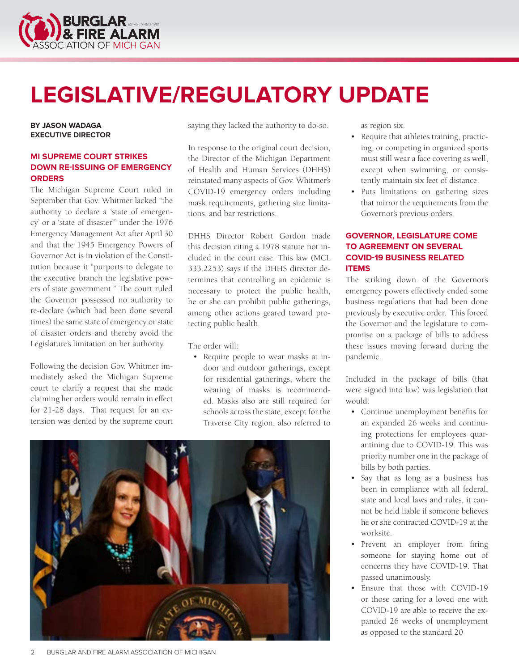<span id="page-1-0"></span>

# **LEGISLATIVE/REGULATORY UPDATE**

**BY JASON WADAGA EXECUTIVE DIRECTOR**

#### **MI SUPREME COURT STRIKES DOWN RE-ISSUING OF EMERGENCY ORDERS**

The Michigan Supreme Court ruled in September that Gov. Whitmer lacked "the authority to declare a 'state of emergency' or a 'state of disaster'" under the 1976 Emergency Management Act after April 30 and that the 1945 Emergency Powers of Governor Act is in violation of the Constitution because it "purports to delegate to the executive branch the legislative powers of state government." The court ruled the Governor possessed no authority to re-declare (which had been done several times) the same state of emergency or state of disaster orders and thereby avoid the Legislature's limitation on her authority.

Following the decision Gov. Whitmer immediately asked the Michigan Supreme court to clarify a request that she made claiming her orders would remain in effect for 21-28 days. That request for an extension was denied by the supreme court

saying they lacked the authority to do-so.

In response to the original court decision, the Director of the Michigan Department of Health and Human Services (DHHS) reinstated many aspects of Gov. Whitmer's COVID-19 emergency orders including mask requirements, gathering size limitations, and bar restrictions.

DHHS Director Robert Gordon made this decision citing a 1978 statute not included in the court case. This law (MCL 333.2253) says if the DHHS director determines that controlling an epidemic is necessary to protect the public health, he or she can prohibit public gatherings, among other actions geared toward protecting public health.

The order will:

• Require people to wear masks at indoor and outdoor gatherings, except for residential gatherings, where the wearing of masks is recommended. Masks also are still required for schools across the state, except for the Traverse City region, also referred to



as region six.

- Require that athletes training, practicing, or competing in organized sports must still wear a face covering as well, except when swimming, or consistently maintain six feet of distance.
- Puts limitations on gathering sizes that mirror the requirements from the Governor's previous orders.

#### **GOVERNOR, LEGISLATURE COME TO AGREEMENT ON SEVERAL COVID-19 BUSINESS RELATED ITEMS**

The striking down of the Governor's emergency powers effectively ended some business regulations that had been done previously by executive order. This forced the Governor and the legislature to compromise on a package of bills to address these issues moving forward during the pandemic.

Included in the package of bills (that were signed into law) was legislation that would:

- Continue unemployment benefits for an expanded 26 weeks and continuing protections for employees quarantining due to COVID-19. This was priority number one in the package of bills by both parties.
- Say that as long as a business has been in compliance with all federal, state and local laws and rules, it cannot be held liable if someone believes he or she contracted COVID-19 at the worksite.
- Prevent an employer from firing someone for staying home out of concerns they have COVID-19. That passed unanimously.
- Ensure that those with COVID-19 or those caring for a loved one with COVID-19 are able to receive the expanded 26 weeks of unemployment as opposed to the standard 20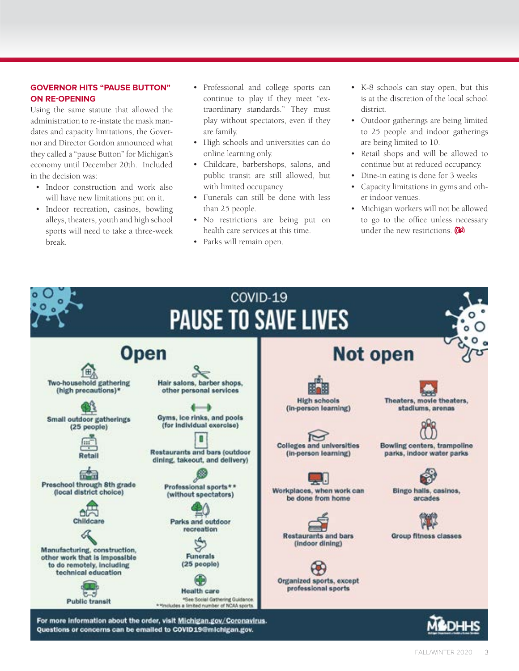#### **GOVERNOR HITS "PAUSE BUTTON" ON RE-OPENING**

Using the same statute that allowed the administration to re-instate the mask mandates and capacity limitations, the Governor and Director Gordon announced what they called a "pause Button" for Michigan's economy until December 20th. Included in the decision was:

- Indoor construction and work also will have new limitations put on it.
- Indoor recreation, casinos, bowling alleys, theaters, youth and high school sports will need to take a three-week break.
- Professional and college sports can continue to play if they meet "extraordinary standards." They must play without spectators, even if they are family.
- High schools and universities can do online learning only.
- Childcare, barbershops, salons, and public transit are still allowed, but with limited occupancy.
- Funerals can still be done with less than 25 people.
- No restrictions are being put on health care services at this time.
- Parks will remain open.
- K-8 schools can stay open, but this is at the discretion of the local school district.
- Outdoor gatherings are being limited to 25 people and indoor gatherings are being limited to 10.
- Retail shops and will be allowed to continue but at reduced occupancy.
- Dine-in eating is done for 3 weeks
- Capacity limitations in gyms and other indoor venues.
- Michigan workers will not be allowed to go to the office unless necessary under the new restrictions.

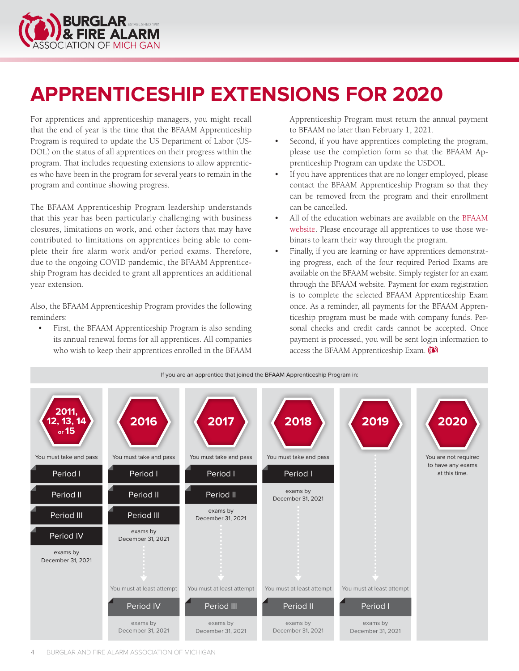<span id="page-3-0"></span>

## **APPRENTICESHIP EXTENSIONS FOR 2020**

For apprentices and apprenticeship managers, you might recall that the end of year is the time that the BFAAM Apprenticeship Program is required to update the US Department of Labor (US-DOL) on the status of all apprentices on their progress within the program. That includes requesting extensions to allow apprentices who have been in the program for several years to remain in the program and continue showing progress.

The BFAAM Apprenticeship Program leadership understands that this year has been particularly challenging with business closures, limitations on work, and other factors that may have contributed to limitations on apprentices being able to complete their fire alarm work and/or period exams. Therefore, due to the ongoing COVID pandemic, the BFAAM Apprenticeship Program has decided to grant all apprentices an additional year extension.

Also, the BFAAM Apprenticeship Program provides the following reminders:

• First, the BFAAM Apprenticeship Program is also sending its annual renewal forms for all apprentices. All companies who wish to keep their apprentices enrolled in the BFAAM

Apprenticeship Program must return the annual payment to BFAAM no later than February 1, 2021.

- Second, if you have apprentices completing the program, please use the completion form so that the BFAAM Apprenticeship Program can update the USDOL.
- If you have apprentices that are no longer employed, please contact the BFAAM Apprenticeship Program so that they can be removed from the program and their enrollment can be cancelled.
- All of the education webinars are available on the [BFAAM](https://www.bfaam.org/period-one) [website](https://www.bfaam.org/period-one). Please encourage all apprentices to use those webinars to learn their way through the program.
- Finally, if you are learning or have apprentices demonstrating progress, each of the four required Period Exams are available on the BFAAM website. Simply register for an exam through the BFAAM website. Payment for exam registration is to complete the selected BFAAM Apprenticeship Exam once. As a reminder, all payments for the BFAAM Apprenticeship program must be made with company funds. Personal checks and credit cards cannot be accepted. Once payment is processed, you will be sent login information to access the BFAAM Apprenticeship Exam.

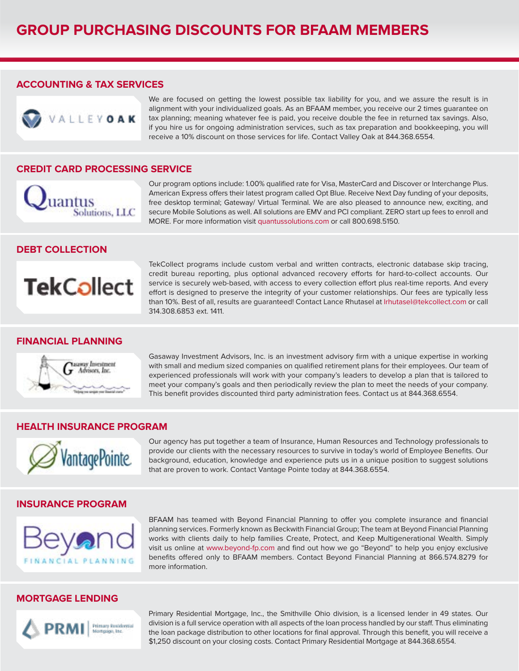#### **ACCOUNTING & TAX SERVICES**



We are focused on getting the lowest possible tax liability for you, and we assure the result is in alignment with your individualized goals. As an BFAAM member, you receive our 2 times guarantee on tax planning; meaning whatever fee is paid, you receive double the fee in returned tax savings. Also, if you hire us for ongoing administration services, such as tax preparation and bookkeeping, you will receive a 10% discount on those services for life. Contact Valley Oak at 844.368.6554.

#### **CREDIT CARD PROCESSING SERVICE**



Our program options include: 1.00% qualified rate for Visa, MasterCard and Discover or Interchange Plus. American Express offers their latest program called Opt Blue. Receive Next Day funding of your deposits, free desktop terminal; Gateway/ Virtual Terminal. We are also pleased to announce new, exciting, and secure Mobile Solutions as well. All solutions are EMV and PCI compliant. ZERO start up fees to enroll and MORE. For more information visit quantussolutions.com or call 800.698.5150.

#### **DEBT COLLECTION**



#### **FINANCIAL PLANNING**



TekCollect programs include custom verbal and written contracts, electronic database skip tracing, credit bureau reporting, plus optional advanced recovery efforts for hard-to-collect accounts. Our service is securely web-based, with access to every collection effort plus real-time reports. And every effort is designed to preserve the integrity of your customer relationships. Our fees are typically less than 10%. Best of all, results are guaranteed! Contact Lance Rhutasel at lrhutasel@tekcollect.com or call 314.308.6853 ext. 1411.

Gasaway Investment Advisors, Inc. is an investment advisory firm with a unique expertise in working with small and medium sized companies on qualified retirement plans for their employees. Our team of experienced professionals will work with your company's leaders to develop a plan that is tailored to meet your company's goals and then periodically review the plan to meet the needs of your company. This benefit provides discounted third party administration fees. Contact us at 844.368.6554.

#### **HEALTH INSURANCE PROGRAM**



Our agency has put together a team of Insurance, Human Resources and Technology professionals to provide our clients with the necessary resources to survive in today's world of Employee Benefits. Our background, education, knowledge and experience puts us in a unique position to suggest solutions that are proven to work. Contact Vantage Pointe today at 844.368.6554.

#### **INSURANCE PROGRAM**



BFAAM has teamed with Beyond Financial Planning to offer you complete insurance and financial planning services. Formerly known as Beckwith Financial Group; The team at Beyond Financial Planning works with clients daily to help families Create, Protect, and Keep Multigenerational Wealth. Simply visit us online at <www.beyond-fp.com> and find out how we go "Beyond" to help you enjoy exclusive benefits offered only to BFAAM members. Contact Beyond Financial Planning at 866.574.8279 for more information.

#### **MORTGAGE LENDING**



Primary Residential Mortgage, Inc., the Smithville Ohio division, is a licensed lender in 49 states. Our division is a full service operation with all aspects of the loan process handled by our staff. Thus eliminating the loan package distribution to other locations for final approval. Through this benefit, you will receive a \$1,250 discount on your closing costs. Contact Primary Residential Mortgage at 844.368.6554.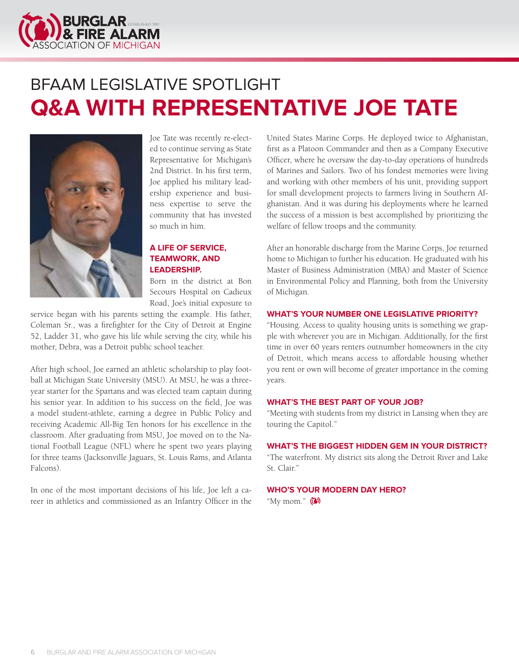<span id="page-5-0"></span>

### BFAAM LEGISLATIVE SPOTLIGHT **Q&A WITH REPRESENTATIVE JOE TATE**



Joe Tate was recently re-elected to continue serving as State Representative for Michigan's 2nd District. In his first term, Joe applied his military leadership experience and business expertise to serve the community that has invested so much in him.

#### **A LIFE OF SERVICE, TEAMWORK, AND LEADERSHIP.**

Born in the district at Bon Secours Hospital on Cadieux Road, Joe's initial exposure to

service began with his parents setting the example. His father, Coleman Sr., was a firefighter for the City of Detroit at Engine 52, Ladder 31, who gave his life while serving the city, while his mother, Debra, was a Detroit public school teacher.

After high school, Joe earned an athletic scholarship to play football at Michigan State University (MSU). At MSU, he was a threeyear starter for the Spartans and was elected team captain during his senior year. In addition to his success on the field, Joe was a model student-athlete, earning a degree in Public Policy and receiving Academic All-Big Ten honors for his excellence in the classroom. After graduating from MSU, Joe moved on to the National Football League (NFL) where he spent two years playing for three teams (Jacksonville Jaguars, St. Louis Rams, and Atlanta Falcons).

In one of the most important decisions of his life, Joe left a career in athletics and commissioned as an Infantry Officer in the United States Marine Corps. He deployed twice to Afghanistan, first as a Platoon Commander and then as a Company Executive Officer, where he oversaw the day-to-day operations of hundreds of Marines and Sailors. Two of his fondest memories were living and working with other members of his unit, providing support for small development projects to farmers living in Southern Afghanistan. And it was during his deployments where he learned the success of a mission is best accomplished by prioritizing the welfare of fellow troops and the community.

After an honorable discharge from the Marine Corps, Joe returned home to Michigan to further his education. He graduated with his Master of Business Administration (MBA) and Master of Science in Environmental Policy and Planning, both from the University of Michigan.

#### **WHAT'S YOUR NUMBER ONE LEGISLATIVE PRIORITY?**

"Housing. Access to quality housing units is something we grapple with wherever you are in Michigan. Additionally, for the first time in over 60 years renters outnumber homeowners in the city of Detroit, which means access to affordable housing whether you rent or own will become of greater importance in the coming years.

#### **WHAT'S THE BEST PART OF YOUR JOB?**

"Meeting with students from my district in Lansing when they are touring the Capitol."

#### **WHAT'S THE BIGGEST HIDDEN GEM IN YOUR DISTRICT?**

"The waterfront. My district sits along the Detroit River and Lake St. Clair."

#### **WHO'S YOUR MODERN DAY HERO?**

"My mom." ( $\bullet$ )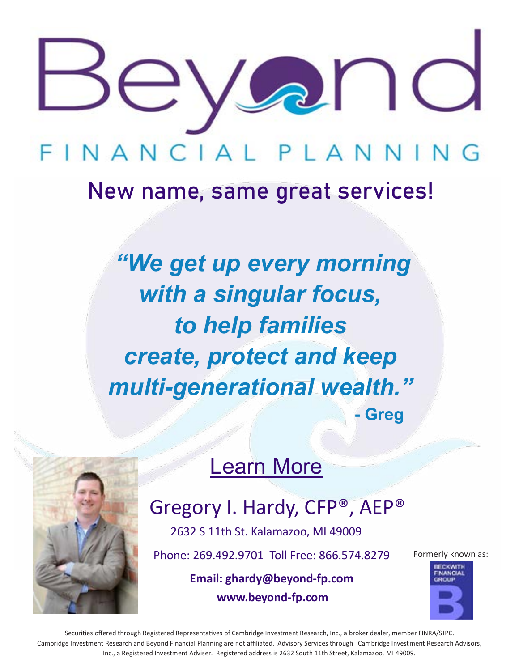

# INANCIAL PLANNIN

## [New name, same great services!](http://beyond-fp.com)

*"We get up every morning with a singular focus, to help families create, protect and keep multi-generational wealth."* **- Greg**

### Learn More



### Gregory I. Hardy, CFP®, AEP®

2632 S 11th St. Kalamazoo, MI 49009

Phone: 269.492.9701 Toll Free: 866.574.8279

 **Email: ghardy@beyond-fp.com www.beyond-fp.com**

Formerly known as:



Securities offered through Registered Representatives of Cambridge Investment Research, Inc., a broker dealer, member FINRA/SIPC. Cambridge Investment Research and Beyond Financial Planning are not affiliated. Advisory Services through Cambridge Investment Research Advisors, Inc., a Registered Investment Adviser. Registered address is 2632 South 11th Street, Kalamazoo, MI 49009.